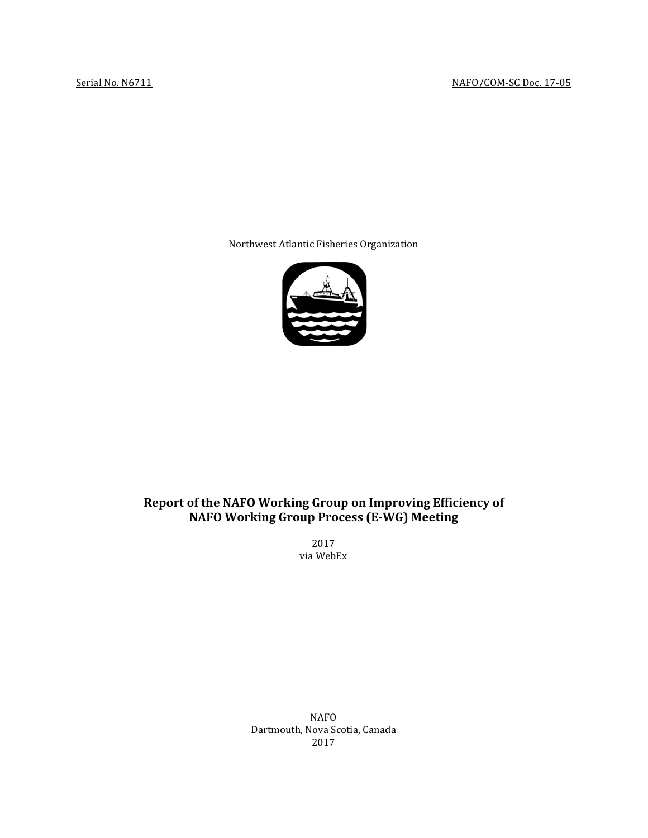Northwest Atlantic Fisheries Organization



# **Report of the NAFO Working Group on Improving Efficiency of NAFO Working Group Process (E-WG) Meeting**

2017 via WebEx

NAFO Dartmouth, Nova Scotia, Canada 2017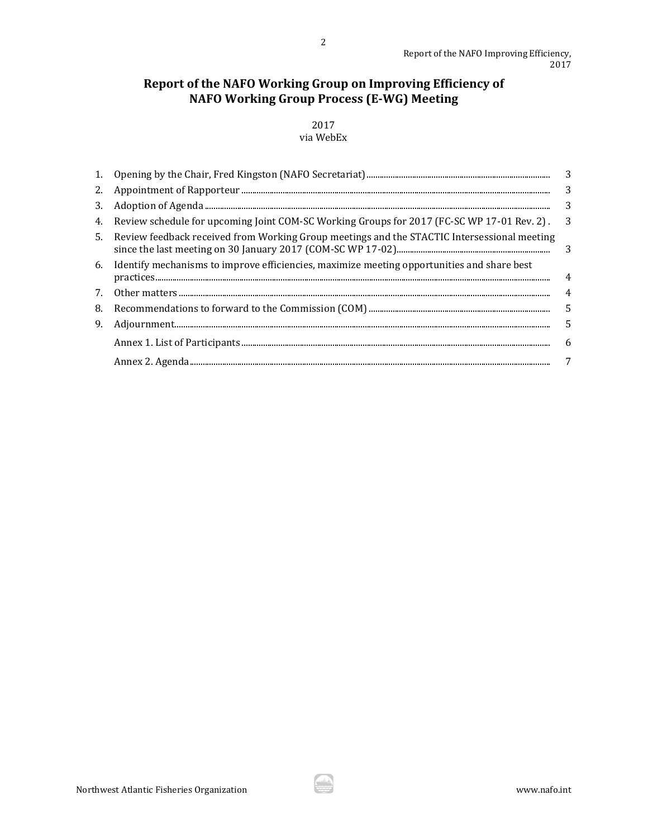# **Report of the NAFO Working Group on Improving Efficiency of NAFO Working Group Process (E-WG) Meeting**

## 2017 via WebEx

|                                                                                                | $\overline{\phantom{a}}$ |
|------------------------------------------------------------------------------------------------|--------------------------|
| 2.                                                                                             | 3                        |
|                                                                                                | 3                        |
| Review schedule for upcoming Joint COM-SC Working Groups for 2017 (FC-SC WP 17-01 Rev. 2).     | $\overline{\phantom{a}}$ |
| 5. Review feedback received from Working Group meetings and the STACTIC Intersessional meeting |                          |
| 6. Identify mechanisms to improve efficiencies, maximize meeting opportunities and share best  | $\overline{4}$           |
|                                                                                                | 4                        |
|                                                                                                | $\overline{5}$           |
|                                                                                                | 5                        |
|                                                                                                | -6                       |
|                                                                                                | 7                        |
|                                                                                                |                          |

ŵ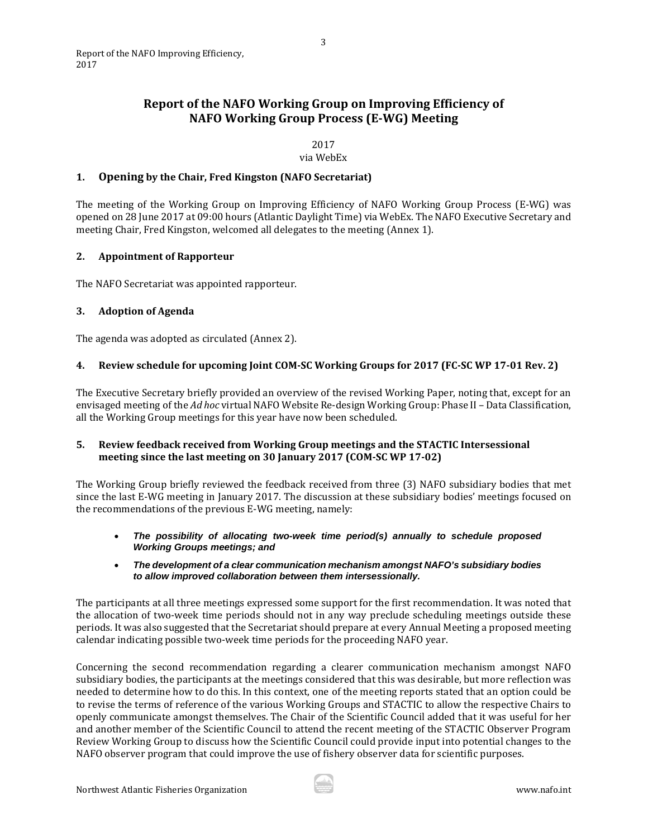## <span id="page-2-0"></span>**Report of the NAFO Working Group on Improving Efficiency of NAFO Working Group Process (E-WG) Meeting**

2017

via WebEx

## **1. Opening by the Chair, Fred Kingston (NAFO Secretariat)**

The meeting of the Working Group on Improving Efficiency of NAFO Working Group Process (E-WG) was opened on 28 June 2017 at 09:00 hours (Atlantic Daylight Time) via WebEx. The NAFO Executive Secretary and meeting Chair, Fred Kingston, welcomed all delegates to the meeting (Annex 1).

## <span id="page-2-1"></span>**2. Appointment of Rapporteur**

The NAFO Secretariat was appointed rapporteur.

## <span id="page-2-2"></span>**3. Adoption of Agenda**

The agenda was adopted as circulated (Annex 2).

## <span id="page-2-3"></span>**4. Review schedule for upcoming Joint COM-SC Working Groups for 2017 (FC-SC WP 17-01 Rev. 2)**

The Executive Secretary briefly provided an overview of the revised Working Paper, noting that, except for an envisaged meeting of the *Ad hoc* virtual NAFO Website Re-design Working Group: Phase II – Data Classification, all the Working Group meetings for this year have now been scheduled.

## <span id="page-2-4"></span>**5. Review feedback received from Working Group meetings and the STACTIC Intersessional meeting since the last meeting on 30 January 2017 (COM-SC WP 17-02)**

The Working Group briefly reviewed the feedback received from three (3) NAFO subsidiary bodies that met since the last E-WG meeting in January 2017. The discussion at these subsidiary bodies' meetings focused on the recommendations of the previous E-WG meeting, namely:

- *The possibility of allocating two-week time period(s) annually to schedule proposed Working Groups meetings; and*
- *The development of a clear communication mechanism amongst NAFO's subsidiary bodies to allow improved collaboration between them intersessionally.*

The participants at all three meetings expressed some support for the first recommendation. It was noted that the allocation of two-week time periods should not in any way preclude scheduling meetings outside these periods. It was also suggested that the Secretariat should prepare at every Annual Meeting a proposed meeting calendar indicating possible two-week time periods for the proceeding NAFO year.

Concerning the second recommendation regarding a clearer communication mechanism amongst NAFO subsidiary bodies, the participants at the meetings considered that this was desirable, but more reflection was needed to determine how to do this. In this context, one of the meeting reports stated that an option could be to revise the terms of reference of the various Working Groups and STACTIC to allow the respective Chairs to openly communicate amongst themselves. The Chair of the Scientific Council added that it was useful for her and another member of the Scientific Council to attend the recent meeting of the STACTIC Observer Program Review Working Group to discuss how the Scientific Council could provide input into potential changes to the NAFO observer program that could improve the use of fishery observer data for scientific purposes.

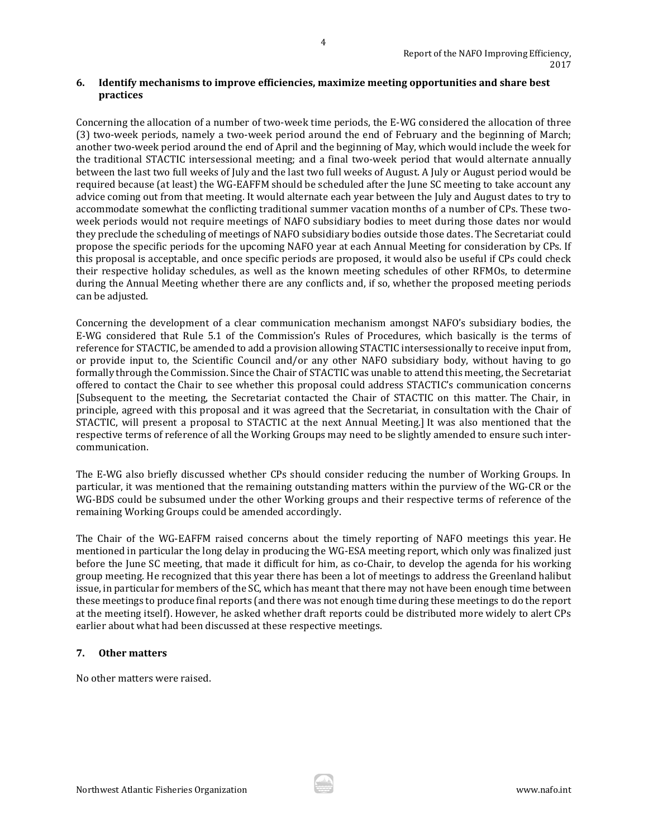### <span id="page-3-0"></span>**6. Identify mechanisms to improve efficiencies, maximize meeting opportunities and share best practices**

Concerning the allocation of a number of two-week time periods, the E-WG considered the allocation of three (3) two-week periods, namely a two-week period around the end of February and the beginning of March; another two-week period around the end of April and the beginning of May, which would include the week for the traditional STACTIC intersessional meeting; and a final two-week period that would alternate annually between the last two full weeks of July and the last two full weeks of August. A July or August period would be required because (at least) the WG-EAFFM should be scheduled after the June SC meeting to take account any advice coming out from that meeting. It would alternate each year between the July and August dates to try to accommodate somewhat the conflicting traditional summer vacation months of a number of CPs. These twoweek periods would not require meetings of NAFO subsidiary bodies to meet during those dates nor would they preclude the scheduling of meetings of NAFO subsidiary bodies outside those dates. The Secretariat could propose the specific periods for the upcoming NAFO year at each Annual Meeting for consideration by CPs. If this proposal is acceptable, and once specific periods are proposed, it would also be useful if CPs could check their respective holiday schedules, as well as the known meeting schedules of other RFMOs, to determine during the Annual Meeting whether there are any conflicts and, if so, whether the proposed meeting periods can be adjusted.

Concerning the development of a clear communication mechanism amongst NAFO's subsidiary bodies, the E-WG considered that Rule 5.1 of the Commission's Rules of Procedures, which basically is the terms of reference for STACTIC, be amended to add a provision allowing STACTIC intersessionally to receive input from, or provide input to, the Scientific Council and/or any other NAFO subsidiary body, without having to go formally through the Commission. Since the Chair of STACTIC was unable to attend this meeting, the Secretariat offered to contact the Chair to see whether this proposal could address STACTIC's communication concerns [Subsequent to the meeting, the Secretariat contacted the Chair of STACTIC on this matter. The Chair, in principle, agreed with this proposal and it was agreed that the Secretariat, in consultation with the Chair of STACTIC, will present a proposal to STACTIC at the next Annual Meeting.] It was also mentioned that the respective terms of reference of all the Working Groups may need to be slightly amended to ensure such intercommunication.

The E-WG also briefly discussed whether CPs should consider reducing the number of Working Groups. In particular, it was mentioned that the remaining outstanding matters within the purview of the WG-CR or the WG-BDS could be subsumed under the other Working groups and their respective terms of reference of the remaining Working Groups could be amended accordingly.

The Chair of the WG-EAFFM raised concerns about the timely reporting of NAFO meetings this year. He mentioned in particular the long delay in producing the WG-ESA meeting report, which only was finalized just before the June SC meeting, that made it difficult for him, as co-Chair, to develop the agenda for his working group meeting. He recognized that this year there has been a lot of meetings to address the Greenland halibut issue, in particular for members of the SC, which has meant that there may not have been enough time between these meetings to produce final reports (and there was not enough time during these meetings to do the report at the meeting itself). However, he asked whether draft reports could be distributed more widely to alert CPs earlier about what had been discussed at these respective meetings.

## <span id="page-3-1"></span>**7. Other matters**

No other matters were raised.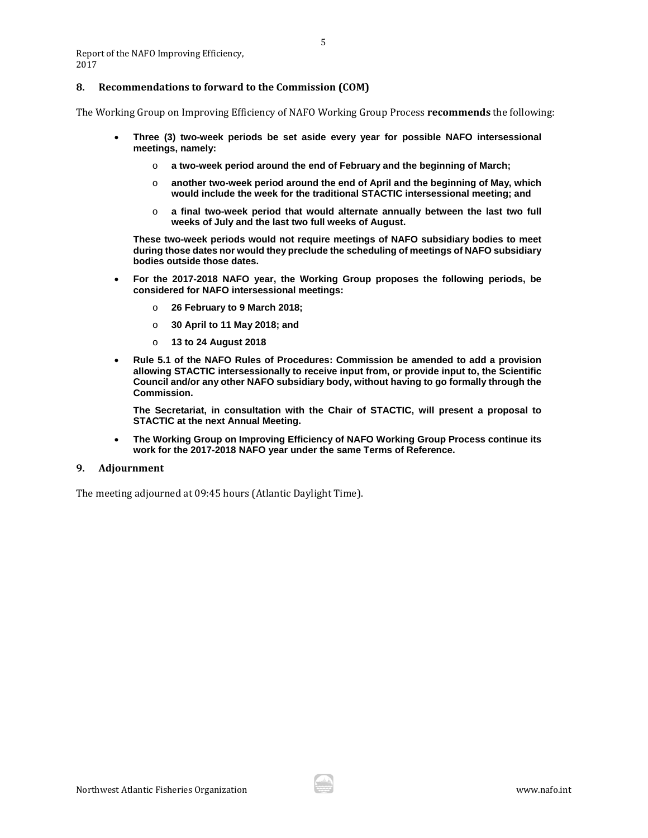Report of the NAFO Improving Efficiency, 2017

#### <span id="page-4-0"></span>**8. Recommendations to forward to the Commission (COM)**

The Working Group on Improving Efficiency of NAFO Working Group Process **recommends** the following:

- **Three (3) two-week periods be set aside every year for possible NAFO intersessional meetings, namely:**
	- o **a two-week period around the end of February and the beginning of March;**
	- o **another two-week period around the end of April and the beginning of May, which would include the week for the traditional STACTIC intersessional meeting; and**
	- o **a final two-week period that would alternate annually between the last two full weeks of July and the last two full weeks of August.**

**These two-week periods would not require meetings of NAFO subsidiary bodies to meet during those dates nor would they preclude the scheduling of meetings of NAFO subsidiary bodies outside those dates.**

- **For the 2017-2018 NAFO year, the Working Group proposes the following periods, be considered for NAFO intersessional meetings:** 
	- o **26 February to 9 March 2018;**
	- o **30 April to 11 May 2018; and**
	- o **13 to 24 August 2018**
- **Rule 5.1 of the NAFO Rules of Procedures: Commission be amended to add a provision allowing STACTIC intersessionally to receive input from, or provide input to, the Scientific Council and/or any other NAFO subsidiary body, without having to go formally through the Commission.**

**The Secretariat, in consultation with the Chair of STACTIC, will present a proposal to STACTIC at the next Annual Meeting.**

• **The Working Group on Improving Efficiency of NAFO Working Group Process continue its work for the 2017-2018 NAFO year under the same Terms of Reference.**

#### <span id="page-4-1"></span>**9. Adjournment**

The meeting adjourned at 09:45 hours (Atlantic Daylight Time).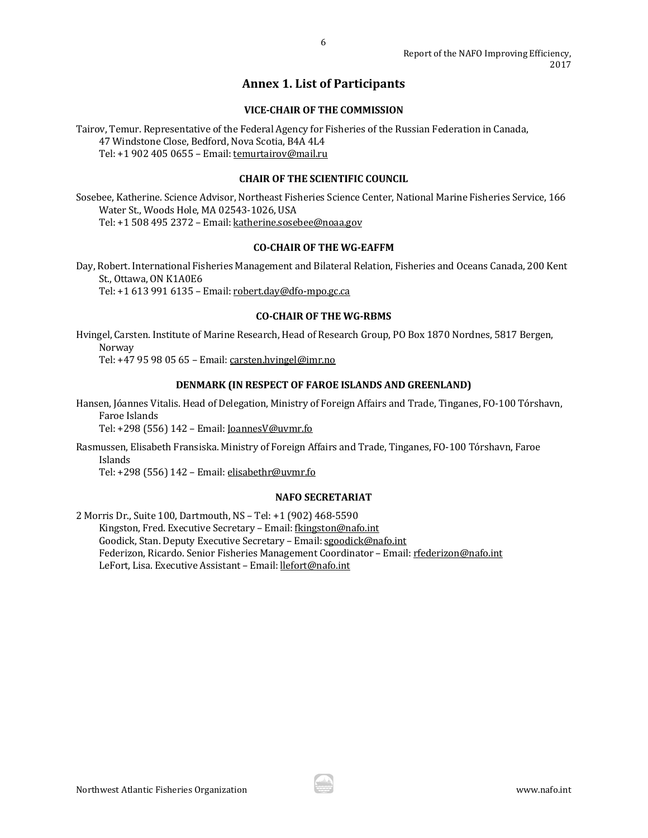## **Annex 1. List of Participants**

## **VICE-CHAIR OF THE COMMISSION**

<span id="page-5-0"></span>Tairov, Temur. Representative of the Federal Agency for Fisheries of the Russian Federation in Canada, 47 Windstone Close, Bedford, Nova Scotia, B4A 4L4 Tel: +1 902 405 0655 – Email[: temurtairov@mail.ru](mailto:temurtairov@mail.ru)

#### **CHAIR OF THE SCIENTIFIC COUNCIL**

Sosebee, Katherine. Science Advisor, Northeast Fisheries Science Center, National Marine Fisheries Service, 166 Water St., Woods Hole, MA 02543-1026, USA Tel: +1 508 495 2372 – Email[: katherine.sosebee@noaa.gov](mailto:katherine.sosebee@noaa.gov)

## **CO-CHAIR OF THE WG-EAFFM**

Day, Robert. International Fisheries Management and Bilateral Relation, Fisheries and Oceans Canada, 200 Kent St., Ottawa, ON K1A0E6 Tel: +1 613 991 6135 – Email[: robert.day@dfo-mpo.gc.ca](mailto:robert.day@dfo-mpo.gc.ca)

#### **CO-CHAIR OF THE WG-RBMS**

Hvingel, Carsten. Institute of Marine Research, Head of Research Group, PO Box 1870 Nordnes, 5817 Bergen, Norway

Tel: +47 95 98 05 65 – Email[: carsten.hvingel@imr.no](mailto:carsten.hvingel@imr.no)

## **DENMARK (IN RESPECT OF FAROE ISLANDS AND GREENLAND)**

Hansen, Jóannes Vitalis. Head of Delegation, Ministry of Foreign Affairs and Trade, Tinganes, FO-100 Tórshavn, Faroe Islands

Tel: +298 (556) 142 – Email[: JoannesV@uvmr.fo](mailto:JoannesV@uvmr.fo)

Rasmussen, Elisabeth Fransiska. Ministry of Foreign Affairs and Trade, Tinganes, FO-100 Tórshavn, Faroe Islands

Tel: +298 (556) 142 – Email[: elisabethr@uvmr.fo](mailto:elisabethr@uvmr.fo)

#### **NAFO SECRETARIAT**

2 Morris Dr., Suite 100, Dartmouth, NS – Tel: +1 (902) 468-5590 Kingston, Fred. Executive Secretary – Email: [fkingston@nafo.int](mailto:fkingston@nafo.int) Goodick, Stan. Deputy Executive Secretary - Email: [sgoodick@nafo.int](mailto:sgoodick@nafo.int)

Federizon, Ricardo. Senior Fisheries Management Coordinator - Email: [rfederizon@nafo.int](mailto:rfederizon@nafo.int)

LeFort, Lisa. Executive Assistant – Email[: llefort@nafo.int](mailto:llefort@nafo.int)